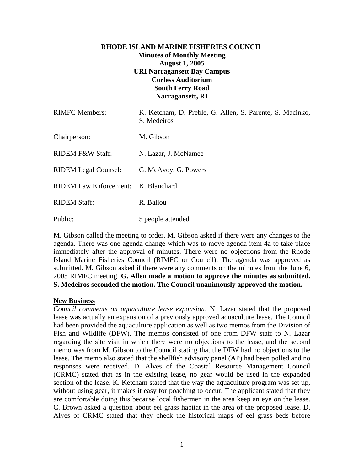# **RHODE ISLAND MARINE FISHERIES COUNCIL Minutes of Monthly Meeting August 1, 2005 URI Narragansett Bay Campus Corless Auditorium South Ferry Road Narragansett, RI**

| <b>RIMFC</b> Members:               | K. Ketcham, D. Preble, G. Allen, S. Parente, S. Macinko,<br>S. Medeiros |
|-------------------------------------|-------------------------------------------------------------------------|
| Chairperson:                        | M. Gibson                                                               |
| RIDEM F&W Staff:                    | N. Lazar, J. McNamee                                                    |
| <b>RIDEM Legal Counsel:</b>         | G. McAvoy, G. Powers                                                    |
| RIDEM Law Enforcement: K. Blanchard |                                                                         |
| <b>RIDEM Staff:</b>                 | R. Ballou                                                               |
| Public:                             | 5 people attended                                                       |

M. Gibson called the meeting to order. M. Gibson asked if there were any changes to the agenda. There was one agenda change which was to move agenda item 4a to take place immediately after the approval of minutes. There were no objections from the Rhode Island Marine Fisheries Council (RIMFC or Council). The agenda was approved as submitted. M. Gibson asked if there were any comments on the minutes from the June 6, 2005 RIMFC meeting. **G. Allen made a motion to approve the minutes as submitted. S. Medeiros seconded the motion. The Council unanimously approved the motion.** 

#### **New Business**

*Council comments on aquaculture lease expansion:* N. Lazar stated that the proposed lease was actually an expansion of a previously approved aquaculture lease. The Council had been provided the aquaculture application as well as two memos from the Division of Fish and Wildlife (DFW). The memos consisted of one from DFW staff to N. Lazar regarding the site visit in which there were no objections to the lease, and the second memo was from M. Gibson to the Council stating that the DFW had no objections to the lease. The memo also stated that the shellfish advisory panel (AP) had been polled and no responses were received. D. Alves of the Coastal Resource Management Council (CRMC) stated that as in the existing lease, no gear would be used in the expanded section of the lease. K. Ketcham stated that the way the aquaculture program was set up, without using gear, it makes it easy for poaching to occur. The applicant stated that they are comfortable doing this because local fishermen in the area keep an eye on the lease. C. Brown asked a question about eel grass habitat in the area of the proposed lease. D. Alves of CRMC stated that they check the historical maps of eel grass beds before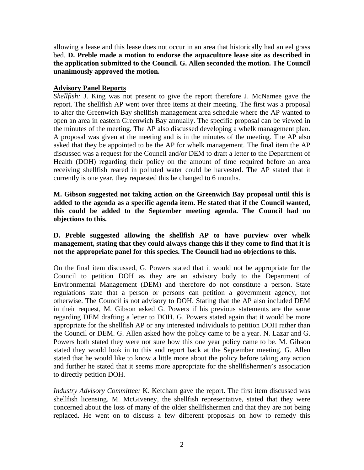allowing a lease and this lease does not occur in an area that historically had an eel grass bed. **D. Preble made a motion to endorse the aquaculture lease site as described in the application submitted to the Council. G. Allen seconded the motion. The Council unanimously approved the motion.**

#### **Advisory Panel Reports**

*Shellfish:* J. King was not present to give the report therefore J. McNamee gave the report. The shellfish AP went over three items at their meeting. The first was a proposal to alter the Greenwich Bay shellfish management area schedule where the AP wanted to open an area in eastern Greenwich Bay annually. The specific proposal can be viewed in the minutes of the meeting. The AP also discussed developing a whelk management plan. A proposal was given at the meeting and is in the minutes of the meeting. The AP also asked that they be appointed to be the AP for whelk management. The final item the AP discussed was a request for the Council and/or DEM to draft a letter to the Department of Health (DOH) regarding their policy on the amount of time required before an area receiving shellfish reared in polluted water could be harvested. The AP stated that it currently is one year, they requested this be changed to 6 months.

**M. Gibson suggested not taking action on the Greenwich Bay proposal until this is added to the agenda as a specific agenda item. He stated that if the Council wanted, this could be added to the September meeting agenda. The Council had no objections to this.**

## **D. Preble suggested allowing the shellfish AP to have purview over whelk management, stating that they could always change this if they come to find that it is not the appropriate panel for this species. The Council had no objections to this.**

On the final item discussed, G. Powers stated that it would not be appropriate for the Council to petition DOH as they are an advisory body to the Department of Environmental Management (DEM) and therefore do not constitute a person. State regulations state that a person or persons can petition a government agency, not otherwise. The Council is not advisory to DOH. Stating that the AP also included DEM in their request, M. Gibson asked G. Powers if his previous statements are the same regarding DEM drafting a letter to DOH. G. Powers stated again that it would be more appropriate for the shellfish AP or any interested individuals to petition DOH rather than the Council or DEM. G. Allen asked how the policy came to be a year. N. Lazar and G. Powers both stated they were not sure how this one year policy came to be. M. Gibson stated they would look in to this and report back at the September meeting. G. Allen stated that he would like to know a little more about the policy before taking any action and further he stated that it seems more appropriate for the shellfishermen's association to directly petition DOH.

*Industry Advisory Committee:* K. Ketcham gave the report. The first item discussed was shellfish licensing. M. McGiveney, the shellfish representative, stated that they were concerned about the loss of many of the older shellfishermen and that they are not being replaced. He went on to discuss a few different proposals on how to remedy this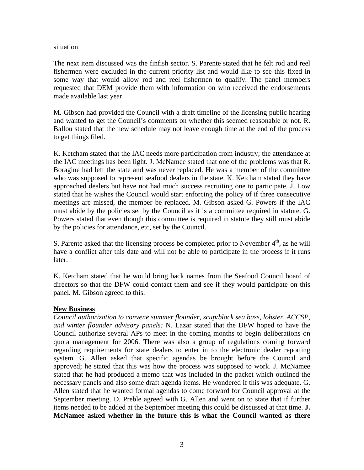situation.

The next item discussed was the finfish sector. S. Parente stated that he felt rod and reel fishermen were excluded in the current priority list and would like to see this fixed in some way that would allow rod and reel fishermen to qualify. The panel members requested that DEM provide them with information on who received the endorsements made available last year.

M. Gibson had provided the Council with a draft timeline of the licensing public hearing and wanted to get the Council's comments on whether this seemed reasonable or not. R. Ballou stated that the new schedule may not leave enough time at the end of the process to get things filed.

K. Ketcham stated that the IAC needs more participation from industry; the attendance at the IAC meetings has been light. J. McNamee stated that one of the problems was that R. Boragine had left the state and was never replaced. He was a member of the committee who was supposed to represent seafood dealers in the state. K. Ketcham stated they have approached dealers but have not had much success recruiting one to participate. J. Low stated that he wishes the Council would start enforcing the policy of if three consecutive meetings are missed, the member be replaced. M. Gibson asked G. Powers if the IAC must abide by the policies set by the Council as it is a committee required in statute. G. Powers stated that even though this committee is required in statute they still must abide by the policies for attendance, etc, set by the Council.

S. Parente asked that the licensing process be completed prior to November  $4<sup>th</sup>$ , as he will have a conflict after this date and will not be able to participate in the process if it runs later.

K. Ketcham stated that he would bring back names from the Seafood Council board of directors so that the DFW could contact them and see if they would participate on this panel. M. Gibson agreed to this.

#### **New Business**

*Council authorization to convene summer flounder, scup/black sea bass, lobster, ACCSP, and winter flounder advisory panels:* N. Lazar stated that the DFW hoped to have the Council authorize several APs to meet in the coming months to begin deliberations on quota management for 2006. There was also a group of regulations coming forward regarding requirements for state dealers to enter in to the electronic dealer reporting system. G. Allen asked that specific agendas be brought before the Council and approved; he stated that this was how the process was supposed to work. J. McNamee stated that he had produced a memo that was included in the packet which outlined the necessary panels and also some draft agenda items. He wondered if this was adequate. G. Allen stated that he wanted formal agendas to come forward for Council approval at the September meeting. D. Preble agreed with G. Allen and went on to state that if further items needed to be added at the September meeting this could be discussed at that time. **J. McNamee asked whether in the future this is what the Council wanted as there**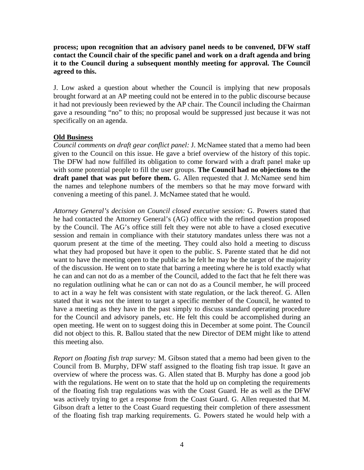**process; upon recognition that an advisory panel needs to be convened, DFW staff contact the Council chair of the specific panel and work on a draft agenda and bring it to the Council during a subsequent monthly meeting for approval. The Council agreed to this.**

J. Low asked a question about whether the Council is implying that new proposals brought forward at an AP meeting could not be entered in to the public discourse because it had not previously been reviewed by the AP chair. The Council including the Chairman gave a resounding "no" to this; no proposal would be suppressed just because it was not specifically on an agenda.

# **Old Business**

*Council comments on draft gear conflict panel:* J. McNamee stated that a memo had been given to the Council on this issue. He gave a brief overview of the history of this topic. The DFW had now fulfilled its obligation to come forward with a draft panel make up with some potential people to fill the user groups. **The Council had no objections to the draft panel that was put before them.** G. Allen requested that J. McNamee send him the names and telephone numbers of the members so that he may move forward with convening a meeting of this panel. J. McNamee stated that he would.

*Attorney General's decision on Council closed executive session:* G. Powers stated that he had contacted the Attorney General's (AG) office with the refined question proposed by the Council. The AG's office still felt they were not able to have a closed executive session and remain in compliance with their statutory mandates unless there was not a quorum present at the time of the meeting. They could also hold a meeting to discuss what they had proposed but have it open to the public. S. Parente stated that he did not want to have the meeting open to the public as he felt he may be the target of the majority of the discussion. He went on to state that barring a meeting where he is told exactly what he can and can not do as a member of the Council, added to the fact that he felt there was no regulation outlining what he can or can not do as a Council member, he will proceed to act in a way he felt was consistent with state regulation, or the lack thereof. G. Allen stated that it was not the intent to target a specific member of the Council, he wanted to have a meeting as they have in the past simply to discuss standard operating procedure for the Council and advisory panels, etc. He felt this could be accomplished during an open meeting. He went on to suggest doing this in December at some point. The Council did not object to this. R. Ballou stated that the new Director of DEM might like to attend this meeting also.

*Report on floating fish trap survey:* M. Gibson stated that a memo had been given to the Council from B. Murphy, DFW staff assigned to the floating fish trap issue. It gave an overview of where the process was. G. Allen stated that B. Murphy has done a good job with the regulations. He went on to state that the hold up on completing the requirements of the floating fish trap regulations was with the Coast Guard. He as well as the DFW was actively trying to get a response from the Coast Guard. G. Allen requested that M. Gibson draft a letter to the Coast Guard requesting their completion of there assessment of the floating fish trap marking requirements. G. Powers stated he would help with a